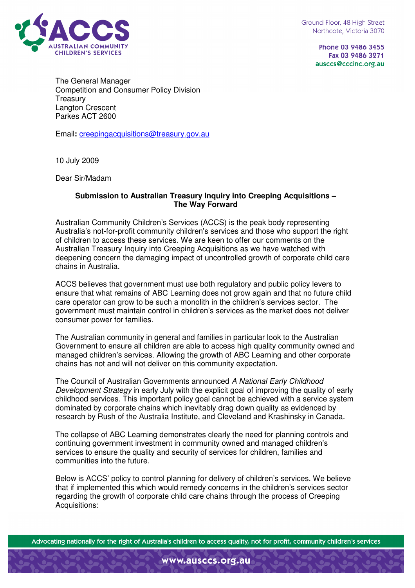

Phone 03 9486 3455 Fax 03 9486 3271 ausccs@cccinc.org.au

The General Manager Competition and Consumer Policy Division **Treasury** Langton Crescent Parkes ACT 2600

Email**:** creepingacquisitions@treasury.gov.au

10 July 2009

Dear Sir/Madam

## **Submission to Australian Treasury Inquiry into Creeping Acquisitions – The Way Forward**

Australian Community Children's Services (ACCS) is the peak body representing Australia's not-for-profit community children's services and those who support the right of children to access these services. We are keen to offer our comments on the Australian Treasury Inquiry into Creeping Acquisitions as we have watched with deepening concern the damaging impact of uncontrolled growth of corporate child care chains in Australia.

ACCS believes that government must use both regulatory and public policy levers to ensure that what remains of ABC Learning does not grow again and that no future child care operator can grow to be such a monolith in the children's services sector. The government must maintain control in children's services as the market does not deliver consumer power for families.

The Australian community in general and families in particular look to the Australian Government to ensure all children are able to access high quality community owned and managed children's services. Allowing the growth of ABC Learning and other corporate chains has not and will not deliver on this community expectation.

The Council of Australian Governments announced A National Early Childhood Development Strategy in early July with the explicit goal of improving the quality of early childhood services. This important policy goal cannot be achieved with a service system dominated by corporate chains which inevitably drag down quality as evidenced by research by Rush of the Australia Institute, and Cleveland and Krashinsky in Canada.

The collapse of ABC Learning demonstrates clearly the need for planning controls and continuing government investment in community owned and managed children's services to ensure the quality and security of services for children, families and communities into the future.

Below is ACCS' policy to control planning for delivery of children's services. We believe that if implemented this which would remedy concerns in the children's services sector regarding the growth of corporate child care chains through the process of Creeping Acquisitions:

Advocating nationally for the right of Australia's children to access quality, not for profit, community children's services